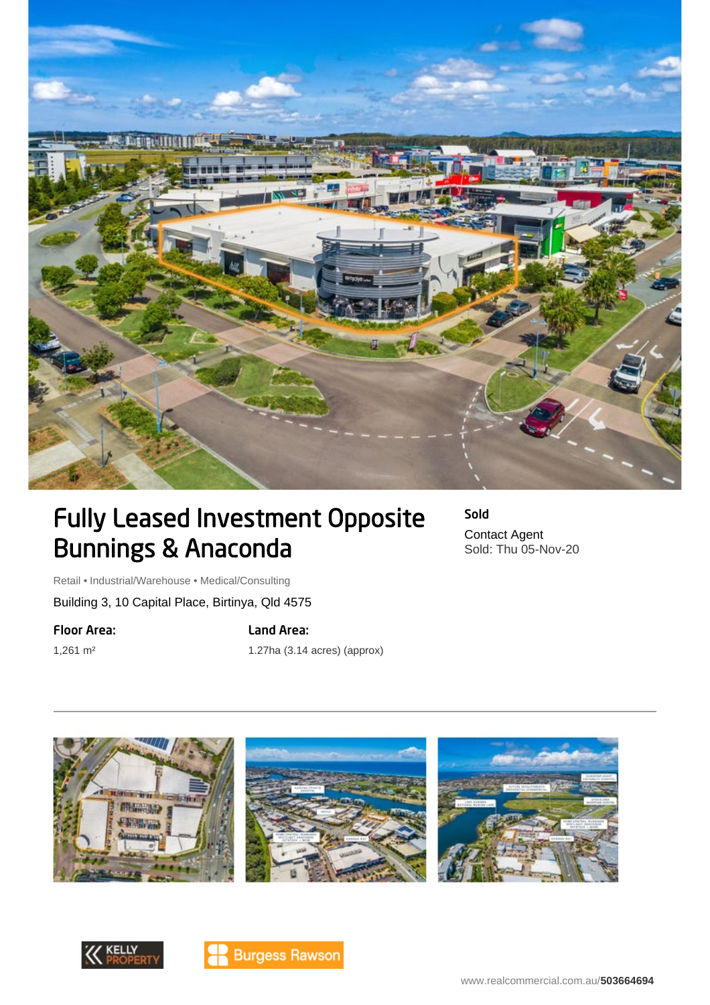

## Fully Leased Investment Opposite Bunnings & Anaconda

Sold Contact Agent Sold: Thu 05-Nov-20

Retail • Industrial/Warehouse • Medical/Consulting

Building 3, 10 Capital Place, Birtinya, Qld 4575

Floor Area:

1,261 m²

Land Area:

1.27ha (3.14 acres) (approx)